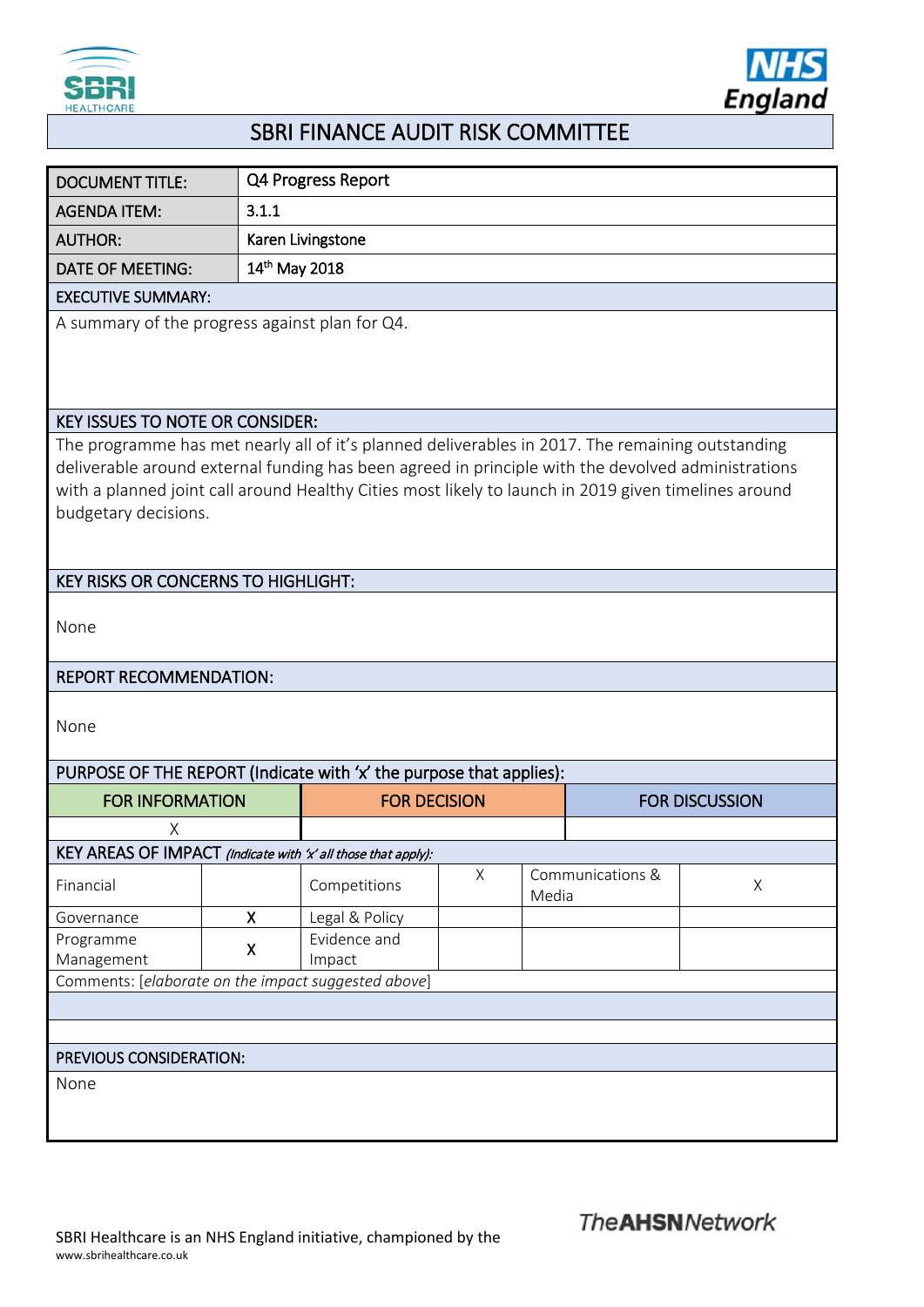



## SBRI FINANCE AUDIT RISK COMMITTEE

| <b>DOCUMENT TITLE:</b>                                                                                                                                                                                                                                                                                                                 |              | Q4 Progress Report     |   |       |                       |   |  |
|----------------------------------------------------------------------------------------------------------------------------------------------------------------------------------------------------------------------------------------------------------------------------------------------------------------------------------------|--------------|------------------------|---|-------|-----------------------|---|--|
| <b>AGENDA ITEM:</b>                                                                                                                                                                                                                                                                                                                    | 3.1.1        |                        |   |       |                       |   |  |
| <b>AUTHOR:</b>                                                                                                                                                                                                                                                                                                                         |              | Karen Livingstone      |   |       |                       |   |  |
| <b>DATE OF MEETING:</b>                                                                                                                                                                                                                                                                                                                |              | 14th May 2018          |   |       |                       |   |  |
| <b>EXECUTIVE SUMMARY:</b>                                                                                                                                                                                                                                                                                                              |              |                        |   |       |                       |   |  |
| A summary of the progress against plan for Q4.                                                                                                                                                                                                                                                                                         |              |                        |   |       |                       |   |  |
| <b>KEY ISSUES TO NOTE OR CONSIDER:</b>                                                                                                                                                                                                                                                                                                 |              |                        |   |       |                       |   |  |
| The programme has met nearly all of it's planned deliverables in 2017. The remaining outstanding<br>deliverable around external funding has been agreed in principle with the devolved administrations<br>with a planned joint call around Healthy Cities most likely to launch in 2019 given timelines around<br>budgetary decisions. |              |                        |   |       |                       |   |  |
| <b>KEY RISKS OR CONCERNS TO HIGHLIGHT:</b>                                                                                                                                                                                                                                                                                             |              |                        |   |       |                       |   |  |
| None                                                                                                                                                                                                                                                                                                                                   |              |                        |   |       |                       |   |  |
| <b>REPORT RECOMMENDATION:</b>                                                                                                                                                                                                                                                                                                          |              |                        |   |       |                       |   |  |
| None                                                                                                                                                                                                                                                                                                                                   |              |                        |   |       |                       |   |  |
| PURPOSE OF THE REPORT (Indicate with 'x' the purpose that applies):                                                                                                                                                                                                                                                                    |              |                        |   |       |                       |   |  |
| <b>FOR INFORMATION</b>                                                                                                                                                                                                                                                                                                                 |              | <b>FOR DECISION</b>    |   |       | <b>FOR DISCUSSION</b> |   |  |
| Χ                                                                                                                                                                                                                                                                                                                                      |              |                        |   |       |                       |   |  |
| KEY AREAS OF IMPACT (Indicate with 'x' all those that apply):                                                                                                                                                                                                                                                                          |              |                        |   |       |                       |   |  |
| Financial                                                                                                                                                                                                                                                                                                                              |              | Competitions           | X | Media | Communications &      | X |  |
| Governance                                                                                                                                                                                                                                                                                                                             | $\mathsf{X}$ | Legal & Policy         |   |       |                       |   |  |
| Programme<br>Management                                                                                                                                                                                                                                                                                                                | Χ            | Evidence and<br>Impact |   |       |                       |   |  |
| Comments: [elaborate on the impact suggested above]                                                                                                                                                                                                                                                                                    |              |                        |   |       |                       |   |  |
|                                                                                                                                                                                                                                                                                                                                        |              |                        |   |       |                       |   |  |
|                                                                                                                                                                                                                                                                                                                                        |              |                        |   |       |                       |   |  |
| PREVIOUS CONSIDERATION:                                                                                                                                                                                                                                                                                                                |              |                        |   |       |                       |   |  |
| None                                                                                                                                                                                                                                                                                                                                   |              |                        |   |       |                       |   |  |
|                                                                                                                                                                                                                                                                                                                                        |              |                        |   |       |                       |   |  |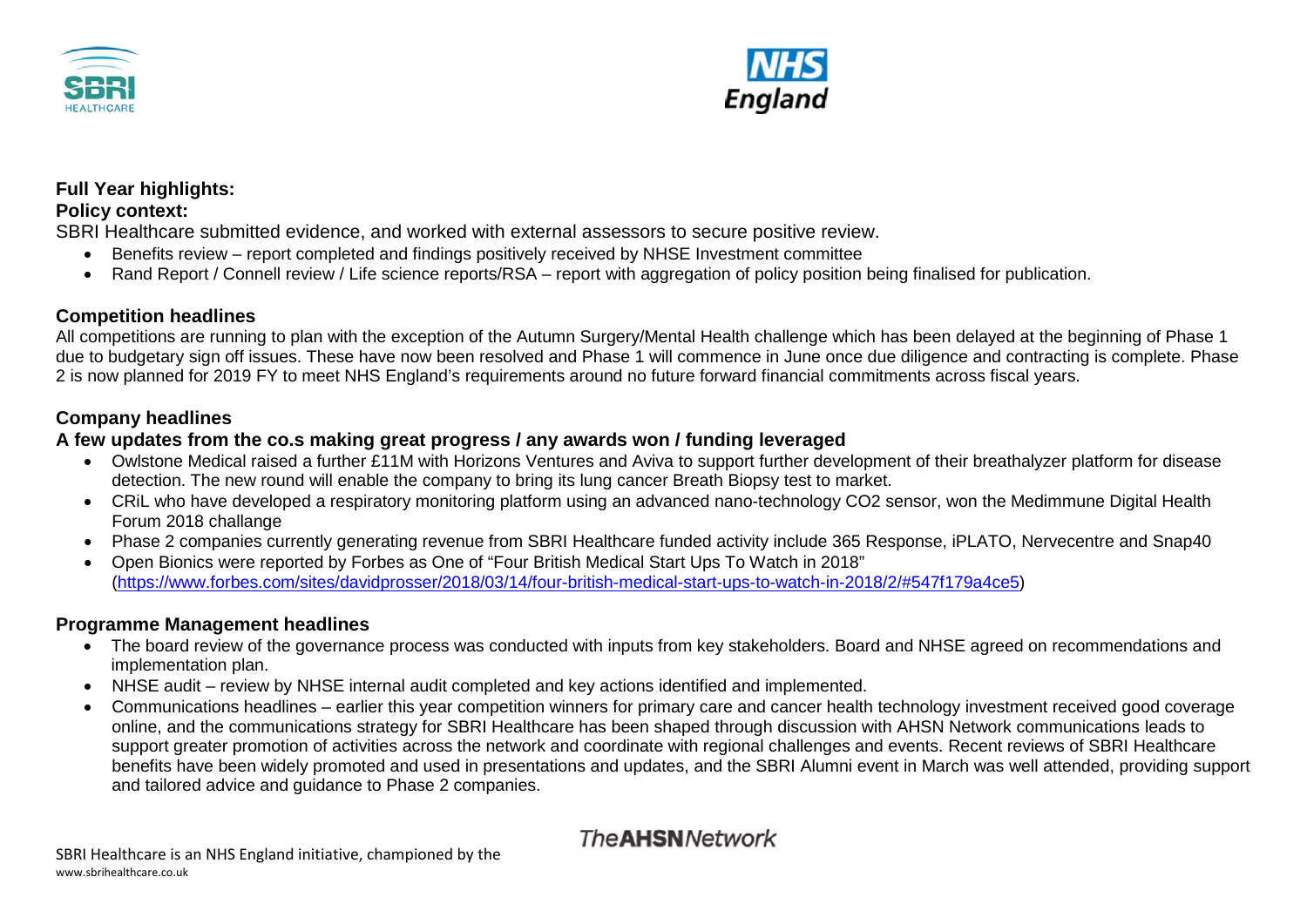



# **Full Year highlights:**

#### **Policy context:**

SBRI Healthcare submitted evidence, and worked with external assessors to secure positive review.

- Benefits review report completed and findings positively received by NHSE Investment committee
- Rand Report / Connell review / Life science reports/RSA report with aggregation of policy position being finalised for publication.

#### **Competition headlines**

All competitions are running to plan with the exception of the Autumn Surgery/Mental Health challenge which has been delayed at the beginning of Phase 1 due to budgetary sign off issues. These have now been resolved and Phase 1 will commence in June once due diligence and contracting is complete. Phase 2 is now planned for 2019 FY to meet NHS England's requirements around no future forward financial commitments across fiscal years.

#### **Company headlines**

#### **A few updates from the co.s making great progress / any awards won / funding leveraged**

- Owlstone Medical raised a further £11M with Horizons Ventures and Aviva to support further development of their breathalyzer platform for disease detection. The new round will enable the company to bring its lung cancer Breath Biopsy test to market.
- CRiL who have developed a respiratory monitoring platform using an advanced nano-technology CO2 sensor, won the Medimmune Digital Health Forum 2018 challange
- Phase 2 companies currently generating revenue from SBRI Healthcare funded activity include 365 Response, iPLATO, Nervecentre and Snap40
- Open Bionics were reported by Forbes as One of "Four British Medical Start Ups To Watch in 2018" [\(https://www.forbes.com/sites/davidprosser/2018/03/14/four-british-medical-start-ups-to-watch-in-2018/2/#547f179a4ce5\)](https://www.forbes.com/sites/davidprosser/2018/03/14/four-british-medical-start-ups-to-watch-in-2018/2/#547f179a4ce5)

#### **Programme Management headlines**

- The board review of the governance process was conducted with inputs from key stakeholders. Board and NHSE agreed on recommendations and implementation plan.
- NHSE audit review by NHSE internal audit completed and key actions identified and implemented.
- Communications headlines earlier this year competition winners for primary care and cancer health technology investment received good coverage online, and the communications strategy for SBRI Healthcare has been shaped through discussion with AHSN Network communications leads to support greater promotion of activities across the network and coordinate with regional challenges and events. Recent reviews of SBRI Healthcare benefits have been widely promoted and used in presentations and updates, and the SBRI Alumni event in March was well attended, providing support and tailored advice and guidance to Phase 2 companies.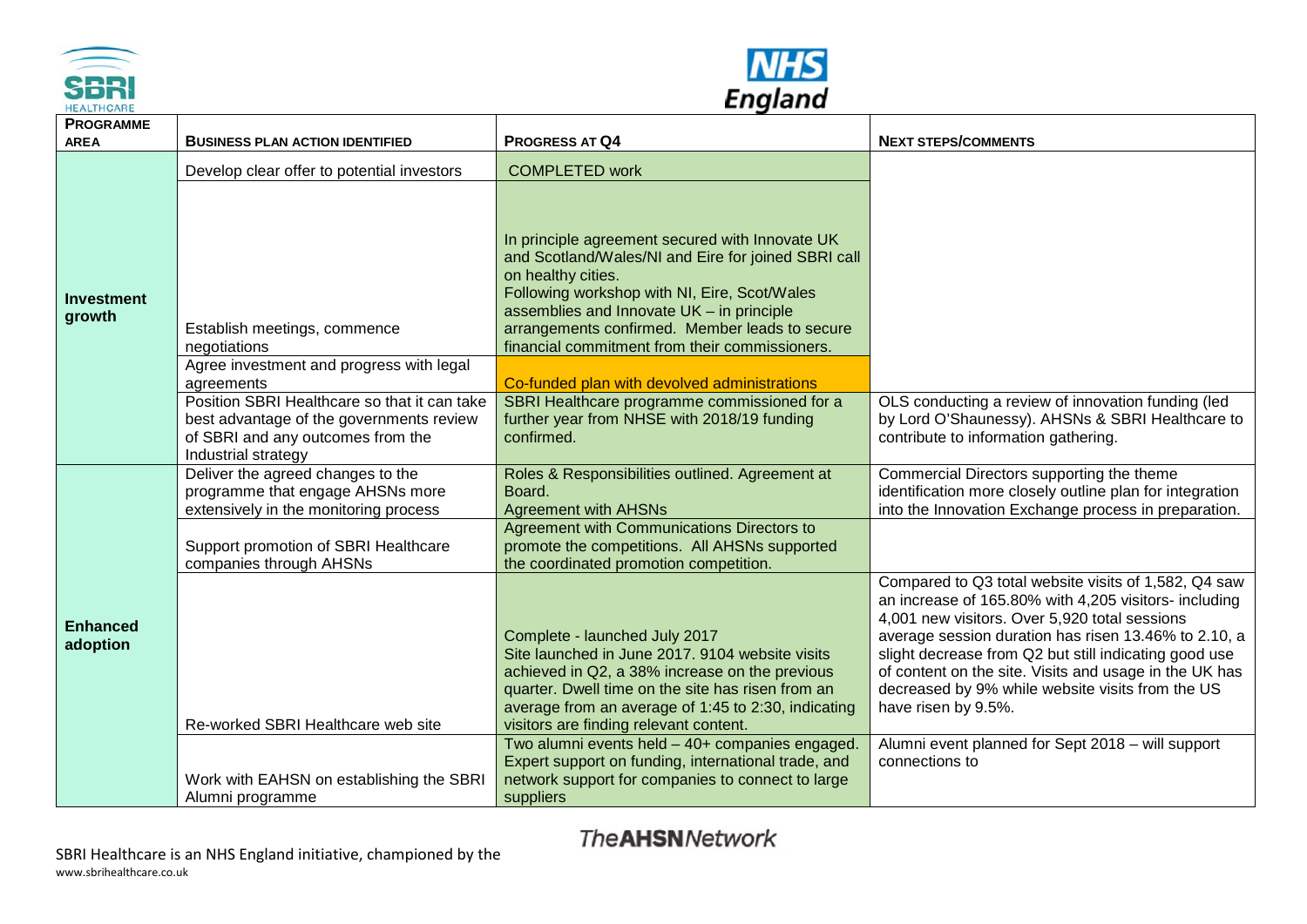



| <b>HEALTHCARE</b>               |                                                                                                                                                                                                                                         | Lugiana                                                                                                                                                                                                                                                                                                                                                                                                                                                                                    |                                                                                                                                                                                                                                                                                                                                                                                                                      |  |  |  |
|---------------------------------|-----------------------------------------------------------------------------------------------------------------------------------------------------------------------------------------------------------------------------------------|--------------------------------------------------------------------------------------------------------------------------------------------------------------------------------------------------------------------------------------------------------------------------------------------------------------------------------------------------------------------------------------------------------------------------------------------------------------------------------------------|----------------------------------------------------------------------------------------------------------------------------------------------------------------------------------------------------------------------------------------------------------------------------------------------------------------------------------------------------------------------------------------------------------------------|--|--|--|
| <b>PROGRAMME</b><br><b>AREA</b> | <b>BUSINESS PLAN ACTION IDENTIFIED</b>                                                                                                                                                                                                  | <b>PROGRESS AT Q4</b>                                                                                                                                                                                                                                                                                                                                                                                                                                                                      | <b>NEXT STEPS/COMMENTS</b>                                                                                                                                                                                                                                                                                                                                                                                           |  |  |  |
|                                 | Develop clear offer to potential investors                                                                                                                                                                                              | <b>COMPLETED work</b>                                                                                                                                                                                                                                                                                                                                                                                                                                                                      |                                                                                                                                                                                                                                                                                                                                                                                                                      |  |  |  |
| <b>Investment</b><br>growth     | Establish meetings, commence<br>negotiations<br>Agree investment and progress with legal<br>agreements<br>Position SBRI Healthcare so that it can take<br>best advantage of the governments review<br>of SBRI and any outcomes from the | In principle agreement secured with Innovate UK<br>and Scotland/Wales/NI and Eire for joined SBRI call<br>on healthy cities.<br>Following workshop with NI, Eire, Scot/Wales<br>assemblies and Innovate UK - in principle<br>arrangements confirmed. Member leads to secure<br>financial commitment from their commissioners.<br>Co-funded plan with devolved administrations<br>SBRI Healthcare programme commissioned for a<br>further year from NHSE with 2018/19 funding<br>confirmed. | OLS conducting a review of innovation funding (led<br>by Lord O'Shaunessy). AHSNs & SBRI Healthcare to<br>contribute to information gathering.                                                                                                                                                                                                                                                                       |  |  |  |
|                                 | Industrial strategy<br>Deliver the agreed changes to the                                                                                                                                                                                | Roles & Responsibilities outlined. Agreement at                                                                                                                                                                                                                                                                                                                                                                                                                                            | Commercial Directors supporting the theme                                                                                                                                                                                                                                                                                                                                                                            |  |  |  |
| <b>Enhanced</b><br>adoption     | programme that engage AHSNs more<br>extensively in the monitoring process                                                                                                                                                               | Board.<br><b>Agreement with AHSNs</b>                                                                                                                                                                                                                                                                                                                                                                                                                                                      | identification more closely outline plan for integration<br>into the Innovation Exchange process in preparation.                                                                                                                                                                                                                                                                                                     |  |  |  |
|                                 | Support promotion of SBRI Healthcare<br>companies through AHSNs                                                                                                                                                                         | <b>Agreement with Communications Directors to</b><br>promote the competitions. All AHSNs supported<br>the coordinated promotion competition.                                                                                                                                                                                                                                                                                                                                               |                                                                                                                                                                                                                                                                                                                                                                                                                      |  |  |  |
|                                 | Re-worked SBRI Healthcare web site                                                                                                                                                                                                      | Complete - launched July 2017<br>Site launched in June 2017. 9104 website visits<br>achieved in Q2, a 38% increase on the previous<br>quarter. Dwell time on the site has risen from an<br>average from an average of 1:45 to 2:30, indicating<br>visitors are finding relevant content.                                                                                                                                                                                                   | Compared to Q3 total website visits of 1,582, Q4 saw<br>an increase of 165.80% with 4,205 visitors- including<br>4,001 new visitors. Over 5,920 total sessions<br>average session duration has risen 13.46% to 2.10, a<br>slight decrease from Q2 but still indicating good use<br>of content on the site. Visits and usage in the UK has<br>decreased by 9% while website visits from the US<br>have risen by 9.5%. |  |  |  |
|                                 | Work with EAHSN on establishing the SBRI<br>Alumni programme                                                                                                                                                                            | Two alumni events held - 40+ companies engaged.<br>Expert support on funding, international trade, and<br>network support for companies to connect to large<br>suppliers                                                                                                                                                                                                                                                                                                                   | Alumni event planned for Sept 2018 - will support<br>connections to                                                                                                                                                                                                                                                                                                                                                  |  |  |  |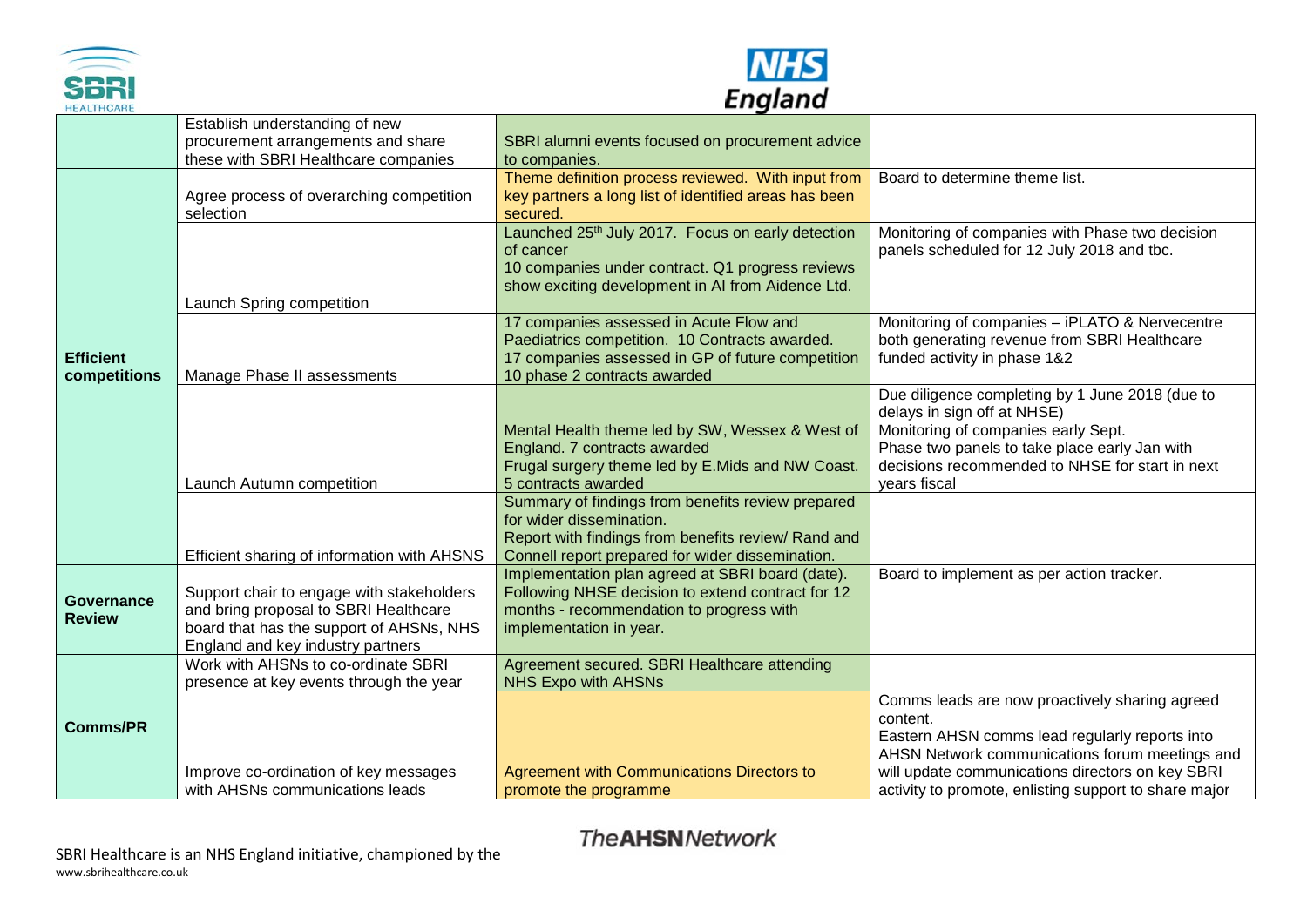



| Lugiana<br><b>HEALTHCARE</b>       |                                                                                                                                                                     |                                                                                                                                                                                          |                                                                                                                                                                                                                                           |  |  |  |
|------------------------------------|---------------------------------------------------------------------------------------------------------------------------------------------------------------------|------------------------------------------------------------------------------------------------------------------------------------------------------------------------------------------|-------------------------------------------------------------------------------------------------------------------------------------------------------------------------------------------------------------------------------------------|--|--|--|
|                                    | Establish understanding of new<br>procurement arrangements and share<br>these with SBRI Healthcare companies                                                        | SBRI alumni events focused on procurement advice<br>to companies.                                                                                                                        |                                                                                                                                                                                                                                           |  |  |  |
|                                    | Agree process of overarching competition<br>selection                                                                                                               | Theme definition process reviewed. With input from<br>key partners a long list of identified areas has been<br>secured.                                                                  | Board to determine theme list.                                                                                                                                                                                                            |  |  |  |
| <b>Efficient</b><br>competitions   | Launch Spring competition                                                                                                                                           | Launched 25th July 2017. Focus on early detection<br>of cancer<br>10 companies under contract. Q1 progress reviews<br>show exciting development in AI from Aidence Ltd.                  | Monitoring of companies with Phase two decision<br>panels scheduled for 12 July 2018 and tbc.                                                                                                                                             |  |  |  |
|                                    | Manage Phase II assessments                                                                                                                                         | 17 companies assessed in Acute Flow and<br>Paediatrics competition. 10 Contracts awarded.<br>17 companies assessed in GP of future competition<br>10 phase 2 contracts awarded           | Monitoring of companies - iPLATO & Nervecentre<br>both generating revenue from SBRI Healthcare<br>funded activity in phase 1&2                                                                                                            |  |  |  |
|                                    | Launch Autumn competition                                                                                                                                           | Mental Health theme led by SW, Wessex & West of<br>England. 7 contracts awarded<br>Frugal surgery theme led by E.Mids and NW Coast.<br>5 contracts awarded                               | Due diligence completing by 1 June 2018 (due to<br>delays in sign off at NHSE)<br>Monitoring of companies early Sept.<br>Phase two panels to take place early Jan with<br>decisions recommended to NHSE for start in next<br>years fiscal |  |  |  |
|                                    | Efficient sharing of information with AHSNS                                                                                                                         | Summary of findings from benefits review prepared<br>for wider dissemination.<br>Report with findings from benefits review/ Rand and<br>Connell report prepared for wider dissemination. |                                                                                                                                                                                                                                           |  |  |  |
| <b>Governance</b><br><b>Review</b> | Support chair to engage with stakeholders<br>and bring proposal to SBRI Healthcare<br>board that has the support of AHSNs, NHS<br>England and key industry partners | Implementation plan agreed at SBRI board (date).<br>Following NHSE decision to extend contract for 12<br>months - recommendation to progress with<br>implementation in year.             | Board to implement as per action tracker.                                                                                                                                                                                                 |  |  |  |
|                                    | Work with AHSNs to co-ordinate SBRI<br>presence at key events through the year                                                                                      | Agreement secured. SBRI Healthcare attending<br><b>NHS Expo with AHSNs</b>                                                                                                               |                                                                                                                                                                                                                                           |  |  |  |
| <b>Comms/PR</b>                    |                                                                                                                                                                     |                                                                                                                                                                                          | Comms leads are now proactively sharing agreed<br>content.<br>Eastern AHSN comms lead regularly reports into<br>AHSN Network communications forum meetings and                                                                            |  |  |  |
|                                    | Improve co-ordination of key messages<br>with AHSNs communications leads                                                                                            | Agreement with Communications Directors to<br>promote the programme                                                                                                                      | will update communications directors on key SBRI<br>activity to promote, enlisting support to share major                                                                                                                                 |  |  |  |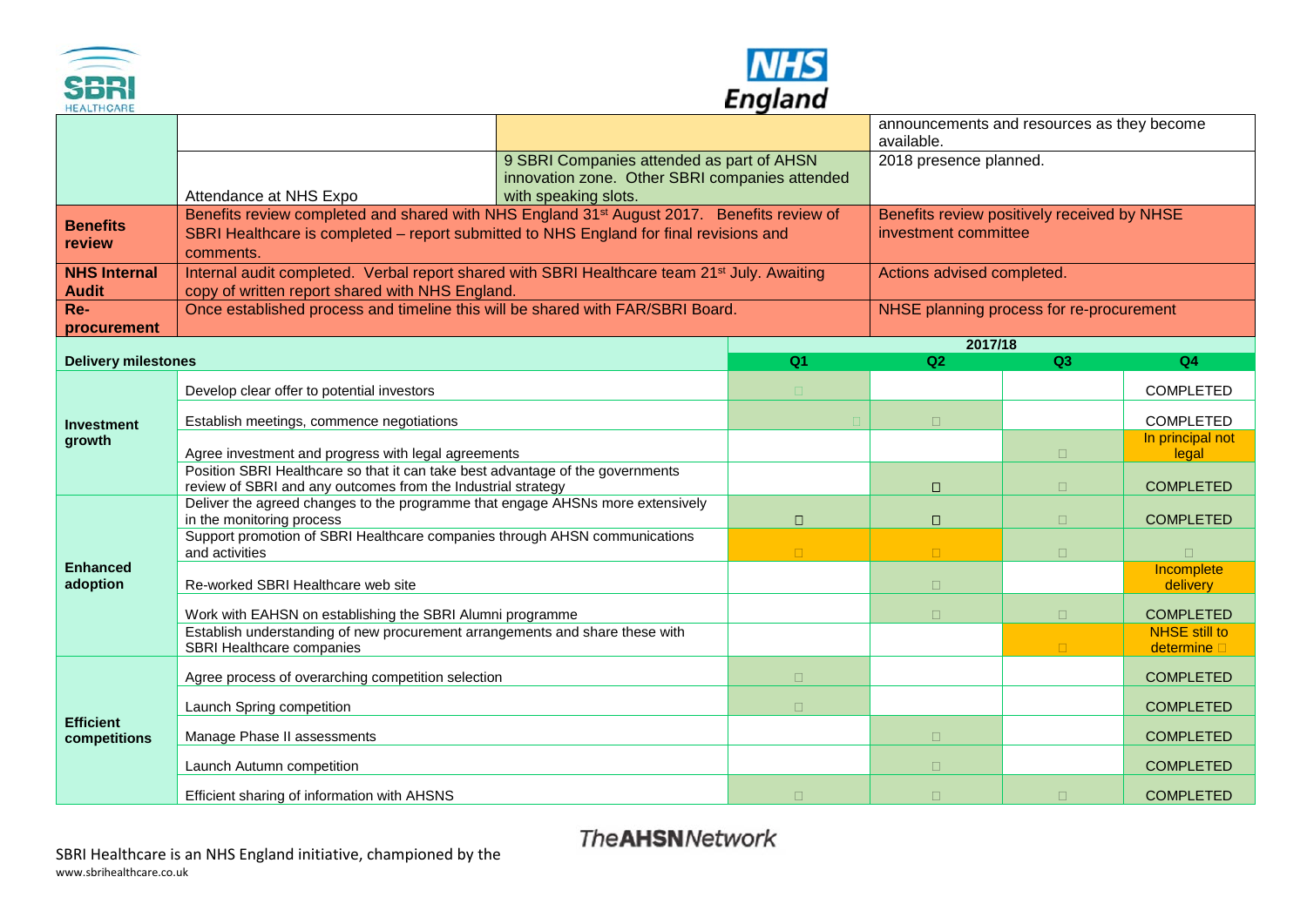



| Lugiana<br><b>HEALTHCARE</b>        |                                                                                                                                                             |                                             |                                                          |                                          |                                     |  |  |
|-------------------------------------|-------------------------------------------------------------------------------------------------------------------------------------------------------------|---------------------------------------------|----------------------------------------------------------|------------------------------------------|-------------------------------------|--|--|
|                                     |                                                                                                                                                             |                                             | announcements and resources as they become<br>available. |                                          |                                     |  |  |
|                                     | 9 SBRI Companies attended as part of AHSN                                                                                                                   | 2018 presence planned.                      |                                                          |                                          |                                     |  |  |
|                                     | innovation zone. Other SBRI companies attended<br>Attendance at NHS Expo<br>with speaking slots.                                                            |                                             |                                                          |                                          |                                     |  |  |
|                                     | Benefits review completed and shared with NHS England 31 <sup>st</sup> August 2017. Benefits review of                                                      | Benefits review positively received by NHSE |                                                          |                                          |                                     |  |  |
| <b>Benefits</b><br>review           | SBRI Healthcare is completed – report submitted to NHS England for final revisions and<br>comments.                                                         | investment committee                        |                                                          |                                          |                                     |  |  |
| <b>NHS Internal</b><br><b>Audit</b> | Internal audit completed. Verbal report shared with SBRI Healthcare team 21 <sup>st</sup> July. Awaiting<br>copy of written report shared with NHS England. |                                             |                                                          | Actions advised completed.               |                                     |  |  |
| Re-<br>procurement                  | Once established process and timeline this will be shared with FAR/SBRI Board.                                                                              |                                             |                                                          | NHSE planning process for re-procurement |                                     |  |  |
|                                     |                                                                                                                                                             |                                             |                                                          | 2017/18                                  |                                     |  |  |
| <b>Delivery milestones</b>          |                                                                                                                                                             | Q <sub>1</sub>                              | Q2                                                       | Q3                                       | Q4                                  |  |  |
| <b>Investment</b><br>growth         | Develop clear offer to potential investors                                                                                                                  | $\Box$                                      |                                                          |                                          | <b>COMPLETED</b>                    |  |  |
|                                     | Establish meetings, commence negotiations                                                                                                                   |                                             | $\Box$                                                   |                                          | <b>COMPLETED</b>                    |  |  |
|                                     | Agree investment and progress with legal agreements                                                                                                         |                                             |                                                          | $\Box$                                   | In principal not<br>legal           |  |  |
|                                     | Position SBRI Healthcare so that it can take best advantage of the governments<br>review of SBRI and any outcomes from the Industrial strategy              |                                             | $\Box$                                                   | $\Box$                                   | <b>COMPLETED</b>                    |  |  |
|                                     | Deliver the agreed changes to the programme that engage AHSNs more extensively                                                                              |                                             |                                                          |                                          |                                     |  |  |
|                                     | in the monitoring process<br>Support promotion of SBRI Healthcare companies through AHSN communications                                                     | $\Box$                                      | $\Box$                                                   | $\Box$                                   | <b>COMPLETED</b>                    |  |  |
|                                     | and activities                                                                                                                                              | $\Box$                                      | $\Box$                                                   | $\Box$                                   | $\Box$                              |  |  |
| <b>Enhanced</b><br>adoption         | Re-worked SBRI Healthcare web site                                                                                                                          |                                             | $\Box$                                                   |                                          | Incomplete<br>delivery              |  |  |
|                                     | Work with EAHSN on establishing the SBRI Alumni programme                                                                                                   |                                             | $\Box$                                                   | $\Box$                                   | <b>COMPLETED</b>                    |  |  |
|                                     | Establish understanding of new procurement arrangements and share these with<br>SBRI Healthcare companies                                                   |                                             |                                                          |                                          | <b>NHSE</b> still to<br>determine D |  |  |
| <b>Efficient</b><br>competitions    | Agree process of overarching competition selection                                                                                                          | $\Box$                                      |                                                          |                                          | <b>COMPLETED</b>                    |  |  |
|                                     | Launch Spring competition                                                                                                                                   | $\Box$                                      |                                                          |                                          | <b>COMPLETED</b>                    |  |  |
|                                     | Manage Phase II assessments                                                                                                                                 |                                             | $\Box$                                                   |                                          | <b>COMPLETED</b>                    |  |  |
|                                     | Launch Autumn competition                                                                                                                                   |                                             | $\Box$                                                   |                                          | <b>COMPLETED</b>                    |  |  |
|                                     | Efficient sharing of information with AHSNS                                                                                                                 | $\Box$                                      | $\Box$                                                   | $\Box$                                   | <b>COMPLETED</b>                    |  |  |